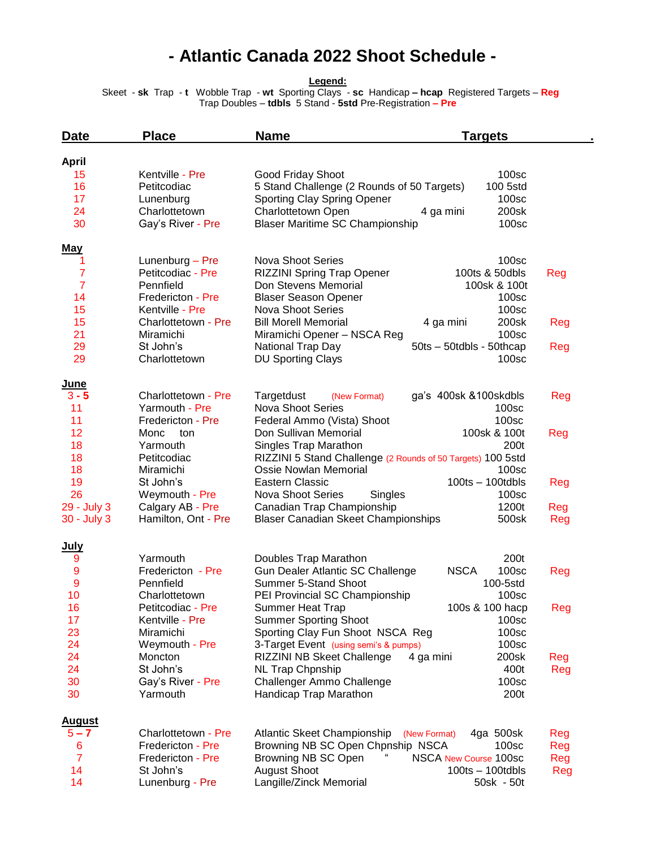## **- Atlantic Canada 2022 Shoot Schedule -**

**Legend:**

 Skeet - **sk** Trap - **t** Wobble Trap - **wt** Sporting Clays - **sc** Handicap **– hcap** Registered Targets – **Reg**  Trap Doubles – **tdbls** 5 Stand - **5std** Pre-Registration **– Pre**

| Date          | <b>Place</b>                   | <b>Name</b><br><b>Targets</b>                                                             |     |
|---------------|--------------------------------|-------------------------------------------------------------------------------------------|-----|
| <b>April</b>  |                                |                                                                                           |     |
| 15            | Kentville - Pre                | 100sc<br>Good Friday Shoot                                                                |     |
| 16            | Petitcodiac                    | 5 Stand Challenge (2 Rounds of 50 Targets)<br>100 5std                                    |     |
| 17            | Lunenburg                      | Sporting Clay Spring Opener<br>100sc                                                      |     |
| 24            | Charlottetown                  | Charlottetown Open<br>4 ga mini<br>200sk                                                  |     |
| 30            | Gay's River - Pre              | <b>Blaser Maritime SC Championship</b><br>100sc                                           |     |
| <b>May</b>    |                                |                                                                                           |     |
| 1             | Lunenburg - Pre                | <b>Nova Shoot Series</b><br>100 <sub>sc</sub>                                             |     |
| 7             | Petitcodiac - Pre              | RIZZINI Spring Trap Opener<br>100ts & 50dbls                                              | Reg |
| 7             | Pennfield                      | Don Stevens Memorial<br>100sk & 100t                                                      |     |
| 14            | Fredericton - Pre              | <b>Blaser Season Opener</b><br>100sc                                                      |     |
| 15            | Kentville - Pre                | <b>Nova Shoot Series</b><br>100 <sub>sc</sub>                                             |     |
| 15            | Charlottetown - Pre            | <b>Bill Morell Memorial</b><br>200sk<br>4 ga mini                                         | Reg |
| 21            | Miramichi                      | 100sc<br>Miramichi Opener - NSCA Reg                                                      |     |
| 29            | St John's                      | National Trap Day<br>50ts - 50tdbls - 50thcap                                             | Reg |
| 29            | Charlottetown                  | <b>DU Sporting Clays</b><br>100 <sub>sc</sub>                                             |     |
| <u>June</u>   |                                |                                                                                           |     |
| $3 - 5$       | Charlottetown - Pre            | Targetdust<br>ga's 400sk &100skdbls<br>(New Format)                                       | Reg |
| 11            | Yarmouth - Pre                 | <b>Nova Shoot Series</b><br>100sc                                                         |     |
| 11<br>12      | Fredericton - Pre              | Federal Ammo (Vista) Shoot<br>100sc<br>Don Sullivan Memorial<br>100sk & 100t              |     |
| 18            | Monc<br>ton<br>Yarmouth        | Singles Trap Marathon<br>200t                                                             | Reg |
| 18            | Petitcodiac                    | RIZZINI 5 Stand Challenge (2 Rounds of 50 Targets) 100 5std                               |     |
| 18            | Miramichi                      | Ossie Nowlan Memorial<br>100sc                                                            |     |
| 19            | St John's                      | <b>Eastern Classic</b><br>$100$ ts $- 100$ tdbls                                          | Reg |
| 26            | Weymouth - Pre                 | <b>Nova Shoot Series</b><br>100sc<br>Singles                                              |     |
| 29 - July 3   | Calgary AB - Pre               | Canadian Trap Championship<br>1200t                                                       | Reg |
| 30 - July 3   | Hamilton, Ont - Pre            | <b>Blaser Canadian Skeet Championships</b><br>500sk                                       | Reg |
| July          |                                |                                                                                           |     |
| 9             | Yarmouth                       | 200t<br>Doubles Trap Marathon                                                             |     |
| 9             | Fredericton - Pre              | Gun Dealer Atlantic SC Challenge<br><b>NSCA</b><br>100sc                                  | Reg |
| 9             | Pennfield                      | Summer 5-Stand Shoot<br>100-5std                                                          |     |
| 10            | Charlottetown                  | PEI Provincial SC Championship<br>100 <sub>sc</sub>                                       |     |
| 16            | Petitcodiac - Pre              | 100s & 100 hacp<br>Summer Heat Trap                                                       | Reg |
| 17            | Kentville - Pre                | <b>Summer Sporting Shoot</b><br>100sc                                                     |     |
| 23            | Miramichi                      | Sporting Clay Fun Shoot NSCA Reg<br>100sc                                                 |     |
| 24            | Weymouth - Pre                 | 100 <sub>sc</sub><br>3-Target Event (using semi's & pumps)                                |     |
| 24            | Moncton                        | RIZZINI NB Skeet Challenge<br>200sk<br>4 ga mini                                          | Reg |
| 24            | St John's                      | <b>NL Trap Chpnship</b><br>400t                                                           | Reg |
| 30<br>30      | Gay's River - Pre<br>Yarmouth  | Challenger Ammo Challenge<br>100sc<br>Handicap Trap Marathon<br>200t                      |     |
|               |                                |                                                                                           |     |
| <b>August</b> |                                |                                                                                           |     |
| $5 - 7$       | Charlottetown - Pre            | <b>Atlantic Skeet Championship</b><br>4ga 500sk<br>(New Format)                           | Reg |
| 6             | Fredericton - Pre              | Browning NB SC Open Chpnship NSCA<br>100sc                                                | Reg |
| 7<br>14       | Fredericton - Pre<br>St John's | Browning NB SC Open<br>NSCA New Course 100sc<br><b>August Shoot</b><br>$100ts - 100tdbls$ | Reg |
| 14            | Lunenburg - Pre                | Langille/Zinck Memorial<br>50sk - 50t                                                     | Reg |